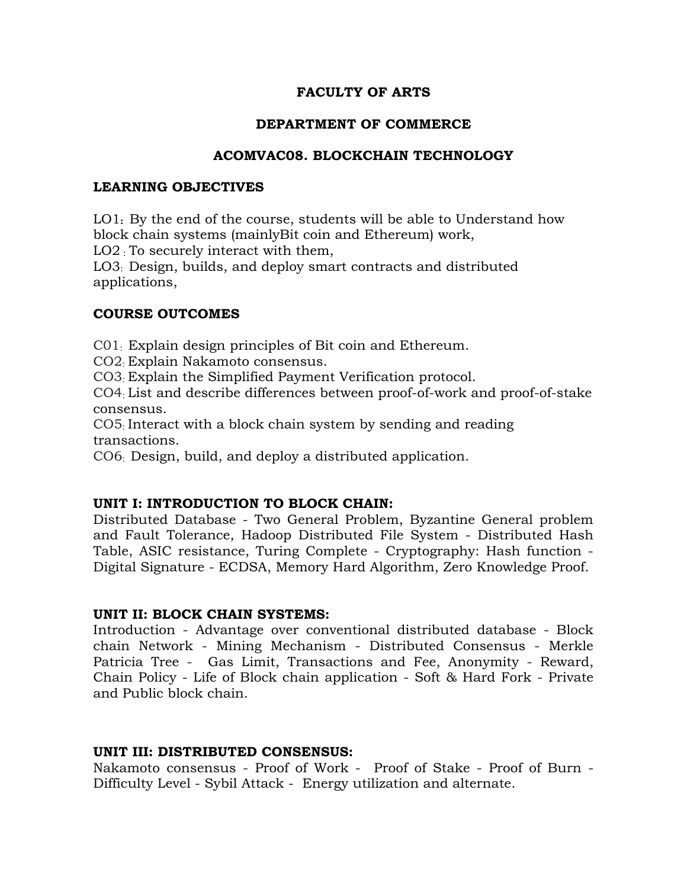## **FACULTY OF ARTS**

## **DEPARTMENT OF COMMERCE**

## **ACOMVAC08. BLOCKCHAIN TECHNOLOGY**

#### **LEARNING OBJECTIVES**

LO1**:** By the end of the course, students will be able to Understand how block chain systems (mainlyBit coin and Ethereum) work,

LO2 : To securely interact with them,

LO3: Design, builds, and deploy smart contracts and distributed applications,

### **COURSE OUTCOMES**

C01: Explain design principles of Bit coin and Ethereum.

CO2: Explain Nakamoto consensus.

CO3: Explain the Simplified Payment Verification protocol.

CO4: List and describe differences between proof-of-work and proof-of-stake consensus.

CO5: Interact with a block chain system by sending and reading transactions.

CO6: Design, build, and deploy a distributed application.

### **UNIT I: INTRODUCTION TO BLOCK CHAIN:**

Distributed Database - Two General Problem, Byzantine General problem and Fault Tolerance, Hadoop Distributed File System - Distributed Hash Table, ASIC resistance, Turing Complete - Cryptography: Hash function - Digital Signature - ECDSA, Memory Hard Algorithm, Zero Knowledge Proof.

### **UNIT II: BLOCK CHAIN SYSTEMS:**

Introduction - Advantage over conventional distributed database - Block chain Network - Mining Mechanism - Distributed Consensus - Merkle Patricia Tree - Gas Limit, Transactions and Fee, Anonymity - Reward, Chain Policy - Life of Block chain application - Soft & Hard Fork - Private and Public block chain.

### **UNIT III: DISTRIBUTED CONSENSUS:**

Nakamoto consensus - Proof of Work - Proof of Stake - Proof of Burn - Difficulty Level - Sybil Attack - Energy utilization and alternate.